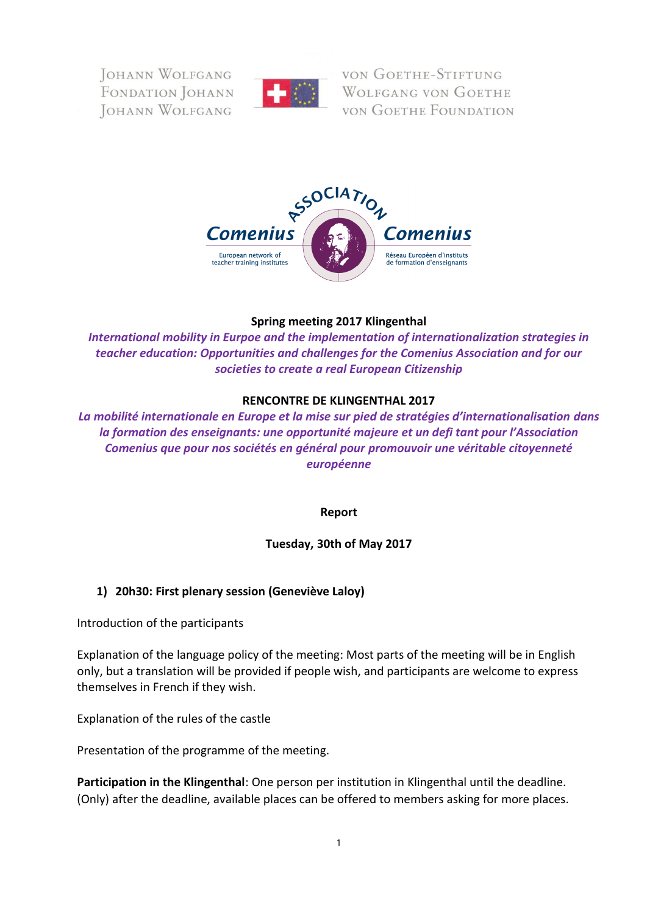**FORANN WOLFGANG** FONDATION JOHANN JOHANN WOLFGANG



VON GOETHE-STIFTUNG **WOLFGANG VON GOETHE VON GOETHE FOUNDATION** 



#### **Spring meeting 2017 Klingenthal**

*International mobility in Eurpoe and the implementation of internationalization strategies in teacher education: Opportunities and challenges for the Comenius Association and for our societies to create a real European Citizenship*

#### **RENCONTRE DE KLINGENTHAL 2017**

*La mobilité internationale en Europe et la mise sur pied de stratégies d'internationalisation dans la formation des enseignants: une opportunité majeure et un defi tant pour l'Association Comenius que pour nos sociétés en général pour promouvoir une véritable citoyenneté européenne*

**Report**

**Tuesday, 30th of May 2017**

## **1) 20h30: First plenary session (Geneviève Laloy)**

Introduction of the participants

Explanation of the language policy of the meeting: Most parts of the meeting will be in English only, but a translation will be provided if people wish, and participants are welcome to express themselves in French if they wish.

Explanation of the rules of the castle

Presentation of the programme of the meeting.

**Participation in the Klingenthal**: One person per institution in Klingenthal until the deadline. (Only) after the deadline, available places can be offered to members asking for more places.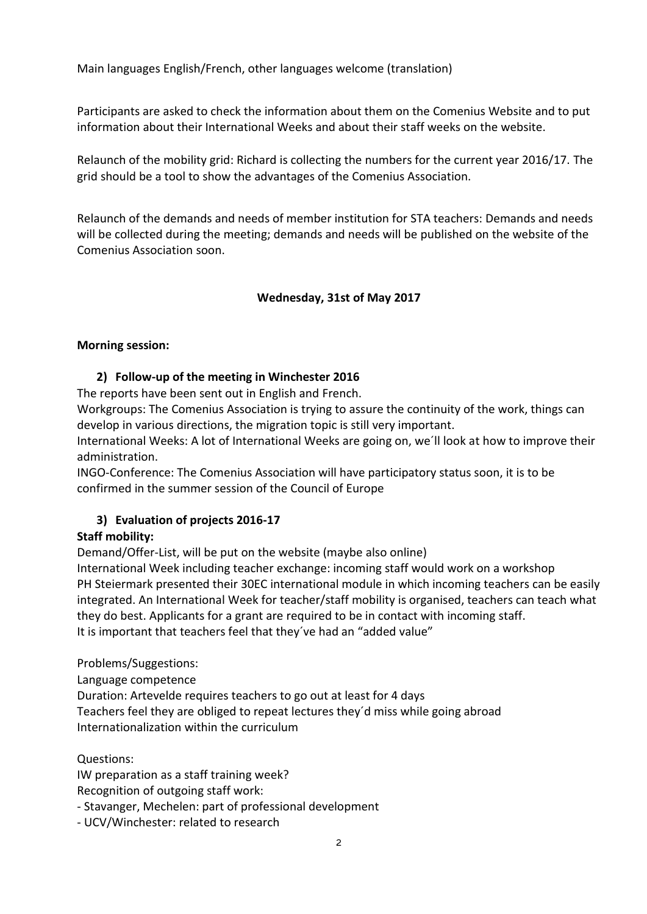Main languages English/French, other languages welcome (translation)

Participants are asked to check the information about them on the Comenius Website and to put information about their International Weeks and about their staff weeks on the website.

Relaunch of the mobility grid: Richard is collecting the numbers for the current year 2016/17. The grid should be a tool to show the advantages of the Comenius Association.

Relaunch of the demands and needs of member institution for STA teachers: Demands and needs will be collected during the meeting; demands and needs will be published on the website of the Comenius Association soon.

## **Wednesday, 31st of May 2017**

#### **Morning session:**

## **2) Follow-up of the meeting in Winchester 2016**

The reports have been sent out in English and French.

Workgroups: The Comenius Association is trying to assure the continuity of the work, things can develop in various directions, the migration topic is still very important.

International Weeks: A lot of International Weeks are going on, we´ll look at how to improve their administration.

INGO-Conference: The Comenius Association will have participatory status soon, it is to be confirmed in the summer session of the Council of Europe

## **3) Evaluation of projects 2016-17**

## **Staff mobility:**

Demand/Offer-List, will be put on the website (maybe also online)

International Week including teacher exchange: incoming staff would work on a workshop PH Steiermark presented their 30EC international module in which incoming teachers can be easily integrated. An International Week for teacher/staff mobility is organised, teachers can teach what they do best. Applicants for a grant are required to be in contact with incoming staff. It is important that teachers feel that they´ve had an "added value"

Problems/Suggestions:

Language competence

Duration: Artevelde requires teachers to go out at least for 4 days Teachers feel they are obliged to repeat lectures they´d miss while going abroad Internationalization within the curriculum

Questions:

IW preparation as a staff training week? Recognition of outgoing staff work:

- Stavanger, Mechelen: part of professional development

- UCV/Winchester: related to research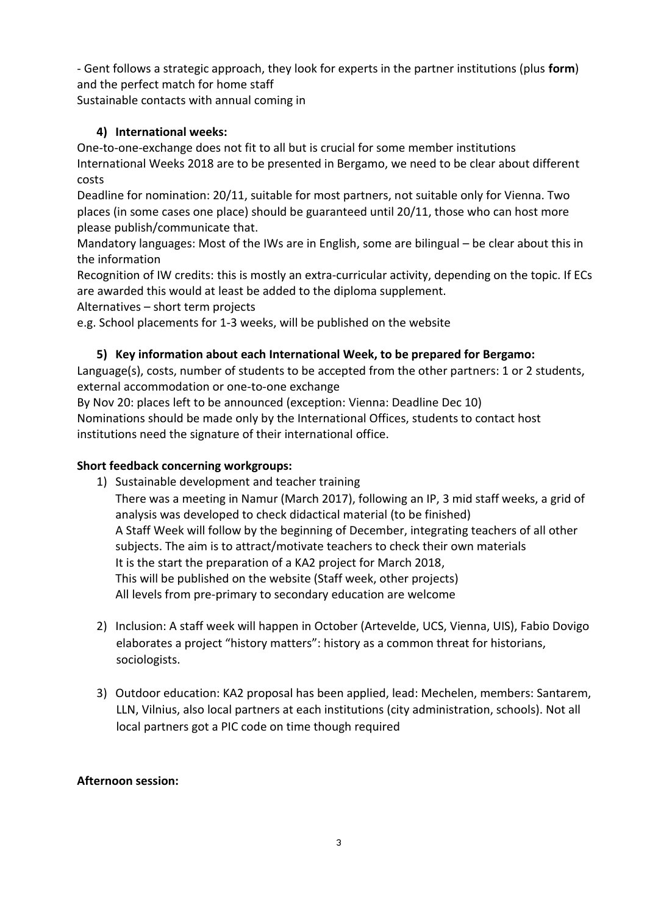- Gent follows a strategic approach, they look for experts in the partner institutions (plus **form**) and the perfect match for home staff Sustainable contacts with annual coming in

# **4) International weeks:**

One-to-one-exchange does not fit to all but is crucial for some member institutions International Weeks 2018 are to be presented in Bergamo, we need to be clear about different costs

Deadline for nomination: 20/11, suitable for most partners, not suitable only for Vienna. Two places (in some cases one place) should be guaranteed until 20/11, those who can host more please publish/communicate that.

Mandatory languages: Most of the IWs are in English, some are bilingual – be clear about this in the information

Recognition of IW credits: this is mostly an extra-curricular activity, depending on the topic. If ECs are awarded this would at least be added to the diploma supplement.

Alternatives – short term projects

e.g. School placements for 1-3 weeks, will be published on the website

## **5) Key information about each International Week, to be prepared for Bergamo:**

Language(s), costs, number of students to be accepted from the other partners: 1 or 2 students, external accommodation or one-to-one exchange

By Nov 20: places left to be announced (exception: Vienna: Deadline Dec 10)

Nominations should be made only by the International Offices, students to contact host institutions need the signature of their international office.

## **Short feedback concerning workgroups:**

1) Sustainable development and teacher training

There was a meeting in Namur (March 2017), following an IP, 3 mid staff weeks, a grid of analysis was developed to check didactical material (to be finished) A Staff Week will follow by the beginning of December, integrating teachers of all other subjects. The aim is to attract/motivate teachers to check their own materials It is the start the preparation of a KA2 project for March 2018, This will be published on the website (Staff week, other projects) All levels from pre-primary to secondary education are welcome

- 2) Inclusion: A staff week will happen in October (Artevelde, UCS, Vienna, UIS), Fabio Dovigo elaborates a project "history matters": history as a common threat for historians, sociologists.
- 3) Outdoor education: KA2 proposal has been applied, lead: Mechelen, members: Santarem, LLN, Vilnius, also local partners at each institutions (city administration, schools). Not all local partners got a PIC code on time though required

## **Afternoon session:**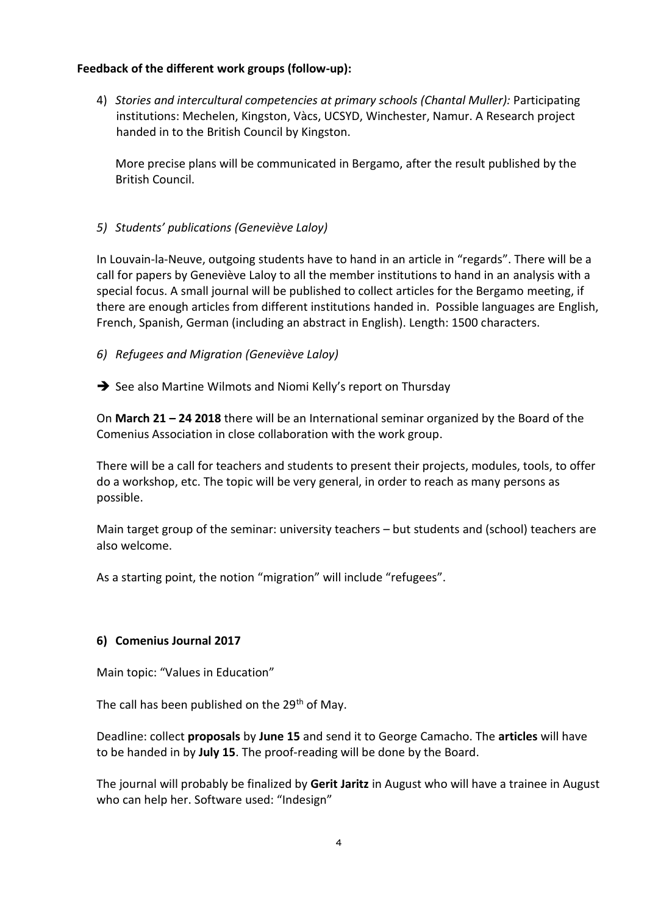#### **Feedback of the different work groups (follow-up):**

4) *Stories and intercultural competencies at primary schools (Chantal Muller):* Participating institutions: Mechelen, Kingston, Vàcs, UCSYD, Winchester, Namur. A Research project handed in to the British Council by Kingston.

More precise plans will be communicated in Bergamo, after the result published by the British Council.

## *5) Students' publications (Geneviève Laloy)*

In Louvain-la-Neuve, outgoing students have to hand in an article in "regards". There will be a call for papers by Geneviève Laloy to all the member institutions to hand in an analysis with a special focus. A small journal will be published to collect articles for the Bergamo meeting, if there are enough articles from different institutions handed in. Possible languages are English, French, Spanish, German (including an abstract in English). Length: 1500 characters.

- *6) Refugees and Migration (Geneviève Laloy)*
- $\rightarrow$  See also Martine Wilmots and Niomi Kelly's report on Thursday

On **March 21 – 24 2018** there will be an International seminar organized by the Board of the Comenius Association in close collaboration with the work group.

There will be a call for teachers and students to present their projects, modules, tools, to offer do a workshop, etc. The topic will be very general, in order to reach as many persons as possible.

Main target group of the seminar: university teachers – but students and (school) teachers are also welcome.

As a starting point, the notion "migration" will include "refugees".

## **6) Comenius Journal 2017**

Main topic: "Values in Education"

The call has been published on the  $29<sup>th</sup>$  of May.

Deadline: collect **proposals** by **June 15** and send it to George Camacho. The **articles** will have to be handed in by **July 15**. The proof-reading will be done by the Board.

The journal will probably be finalized by **Gerit Jaritz** in August who will have a trainee in August who can help her. Software used: "Indesign"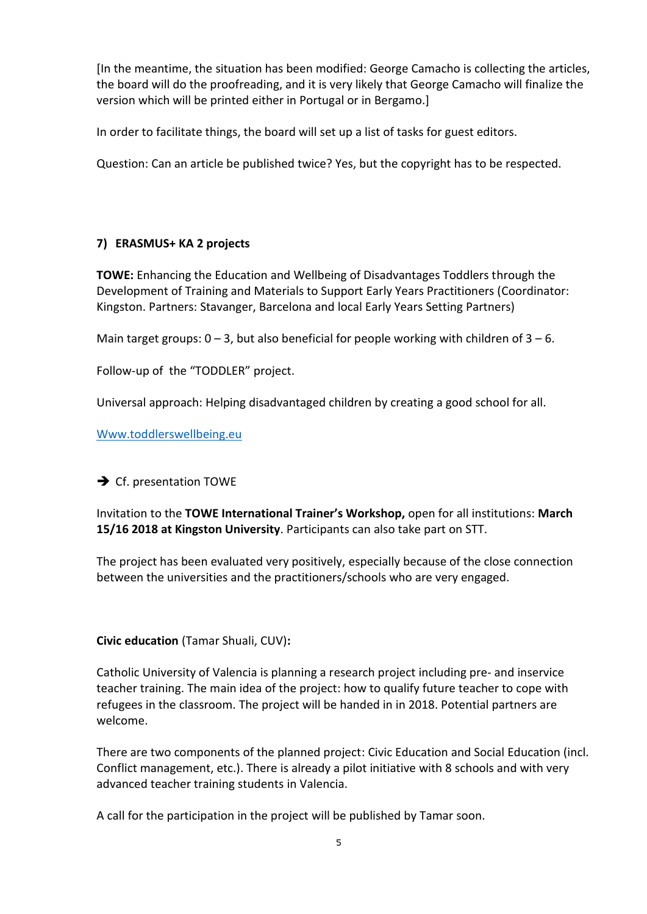[In the meantime, the situation has been modified: George Camacho is collecting the articles, the board will do the proofreading, and it is very likely that George Camacho will finalize the version which will be printed either in Portugal or in Bergamo.]

In order to facilitate things, the board will set up a list of tasks for guest editors.

Question: Can an article be published twice? Yes, but the copyright has to be respected.

## **7) ERASMUS+ KA 2 projects**

**TOWE:** Enhancing the Education and Wellbeing of Disadvantages Toddlers through the Development of Training and Materials to Support Early Years Practitioners (Coordinator: Kingston. Partners: Stavanger, Barcelona and local Early Years Setting Partners)

Main target groups:  $0 - 3$ , but also beneficial for people working with children of  $3 - 6$ .

Follow-up of the "TODDLER" project.

Universal approach: Helping disadvantaged children by creating a good school for all.

[Www.toddlerswellbeing.eu](http://www.toddlerswellbeing.eu/)

 $\rightarrow$  Cf. presentation TOWE

Invitation to the **TOWE International Trainer's Workshop,** open for all institutions: **March 15/16 2018 at Kingston University**. Participants can also take part on STT.

The project has been evaluated very positively, especially because of the close connection between the universities and the practitioners/schools who are very engaged.

#### **Civic education** (Tamar Shuali, CUV)**:**

Catholic University of Valencia is planning a research project including pre- and inservice teacher training. The main idea of the project: how to qualify future teacher to cope with refugees in the classroom. The project will be handed in in 2018. Potential partners are welcome.

There are two components of the planned project: Civic Education and Social Education (incl. Conflict management, etc.). There is already a pilot initiative with 8 schools and with very advanced teacher training students in Valencia.

A call for the participation in the project will be published by Tamar soon.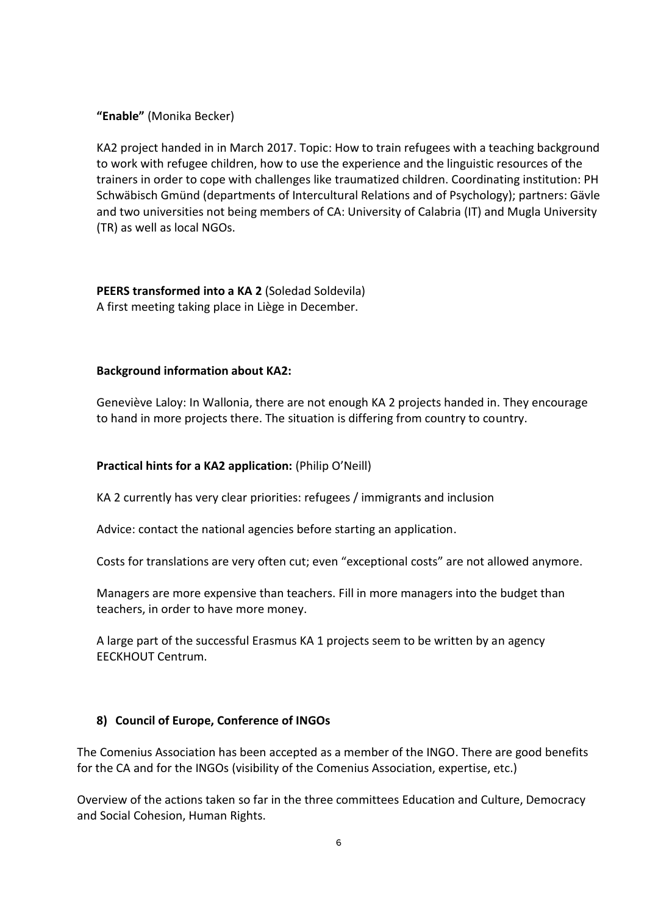**"Enable"** (Monika Becker)

KA2 project handed in in March 2017. Topic: How to train refugees with a teaching background to work with refugee children, how to use the experience and the linguistic resources of the trainers in order to cope with challenges like traumatized children. Coordinating institution: PH Schwäbisch Gmünd (departments of Intercultural Relations and of Psychology); partners: Gävle and two universities not being members of CA: University of Calabria (IT) and Mugla University (TR) as well as local NGOs.

**PEERS transformed into a KA 2** (Soledad Soldevila) A first meeting taking place in Liège in December.

#### **Background information about KA2:**

Geneviève Laloy: In Wallonia, there are not enough KA 2 projects handed in. They encourage to hand in more projects there. The situation is differing from country to country.

#### **Practical hints for a KA2 application:** (Philip O'Neill)

KA 2 currently has very clear priorities: refugees / immigrants and inclusion

Advice: contact the national agencies before starting an application.

Costs for translations are very often cut; even "exceptional costs" are not allowed anymore.

Managers are more expensive than teachers. Fill in more managers into the budget than teachers, in order to have more money.

A large part of the successful Erasmus KA 1 projects seem to be written by an agency EECKHOUT Centrum.

#### **8) Council of Europe, Conference of INGOs**

The Comenius Association has been accepted as a member of the INGO. There are good benefits for the CA and for the INGOs (visibility of the Comenius Association, expertise, etc.)

Overview of the actions taken so far in the three committees Education and Culture, Democracy and Social Cohesion, Human Rights.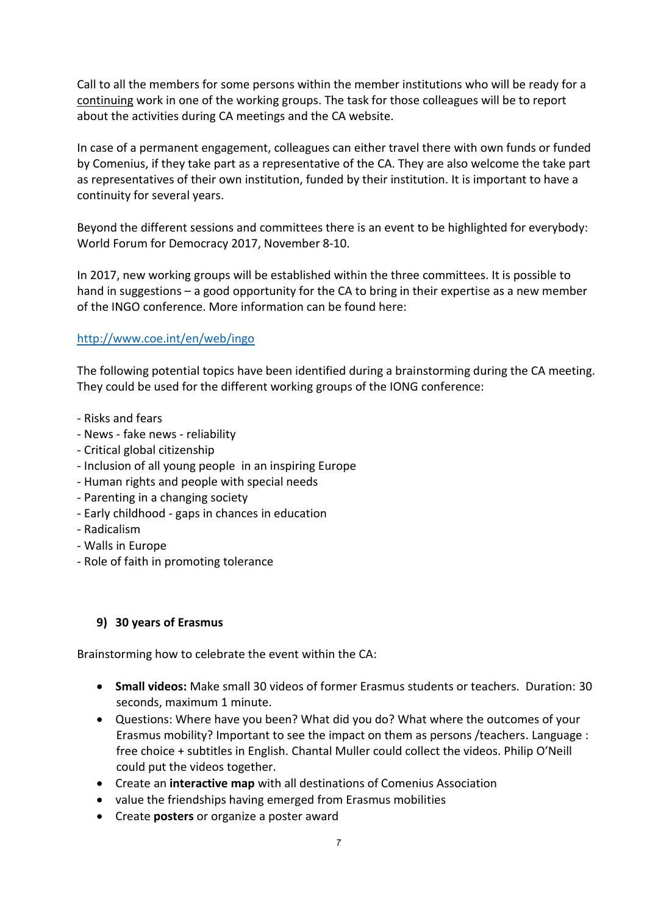Call to all the members for some persons within the member institutions who will be ready for a continuing work in one of the working groups. The task for those colleagues will be to report about the activities during CA meetings and the CA website.

In case of a permanent engagement, colleagues can either travel there with own funds or funded by Comenius, if they take part as a representative of the CA. They are also welcome the take part as representatives of their own institution, funded by their institution. It is important to have a continuity for several years.

Beyond the different sessions and committees there is an event to be highlighted for everybody: World Forum for Democracy 2017, November 8-10.

In 2017, new working groups will be established within the three committees. It is possible to hand in suggestions – a good opportunity for the CA to bring in their expertise as a new member of the INGO conference. More information can be found here:

# <http://www.coe.int/en/web/ingo>

The following potential topics have been identified during a brainstorming during the CA meeting. They could be used for the different working groups of the IONG conference:

- Risks and fears
- News fake news reliability
- Critical global citizenship
- Inclusion of all young people in an inspiring Europe
- Human rights and people with special needs
- Parenting in a changing society
- Early childhood gaps in chances in education
- Radicalism
- Walls in Europe
- Role of faith in promoting tolerance

## **9) 30 years of Erasmus**

Brainstorming how to celebrate the event within the CA:

- **Small videos:** Make small 30 videos of former Erasmus students or teachers. Duration: 30 seconds, maximum 1 minute.
- Questions: Where have you been? What did you do? What where the outcomes of your Erasmus mobility? Important to see the impact on them as persons /teachers. Language : free choice + subtitles in English. Chantal Muller could collect the videos. Philip O'Neill could put the videos together.
- Create an **interactive map** with all destinations of Comenius Association
- value the friendships having emerged from Erasmus mobilities
- Create **posters** or organize a poster award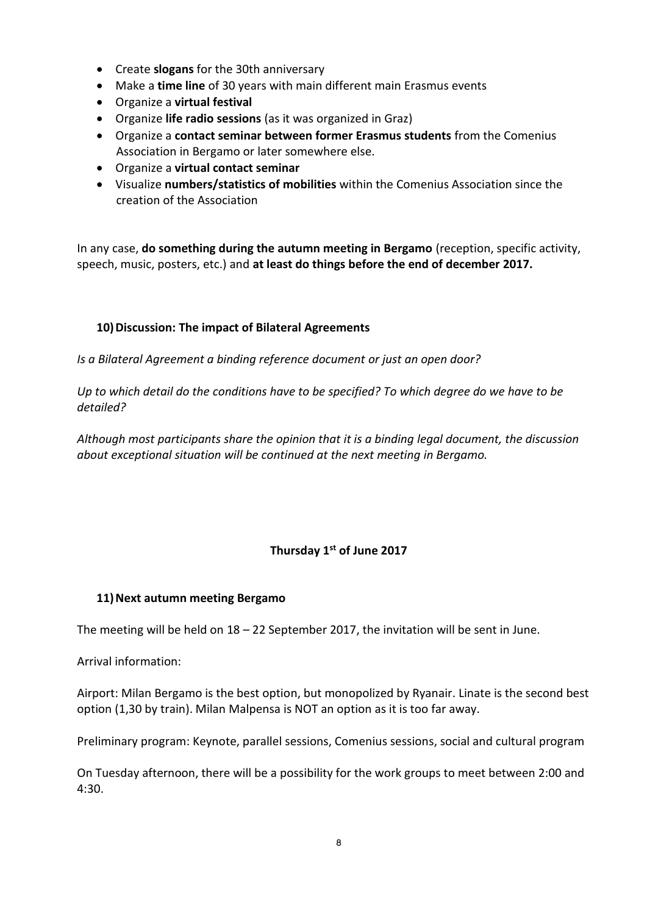- Create **slogans** for the 30th anniversary
- Make a **time line** of 30 years with main different main Erasmus events
- Organize a **virtual festival**
- Organize **life radio sessions** (as it was organized in Graz)
- Organize a **contact seminar between former Erasmus students** from the Comenius Association in Bergamo or later somewhere else.
- Organize a **virtual contact seminar**
- Visualize **numbers/statistics of mobilities** within the Comenius Association since the creation of the Association

In any case, **do something during the autumn meeting in Bergamo** (reception, specific activity, speech, music, posters, etc.) and **at least do things before the end of december 2017.**

# **10)Discussion: The impact of Bilateral Agreements**

*Is a Bilateral Agreement a binding reference document or just an open door?*

*Up to which detail do the conditions have to be specified? To which degree do we have to be detailed?*

*Although most participants share the opinion that it is a binding legal document, the discussion about exceptional situation will be continued at the next meeting in Bergamo.*

# **Thursday 1st of June 2017**

## **11)Next autumn meeting Bergamo**

The meeting will be held on 18 – 22 September 2017, the invitation will be sent in June.

Arrival information:

Airport: Milan Bergamo is the best option, but monopolized by Ryanair. Linate is the second best option (1,30 by train). Milan Malpensa is NOT an option as it is too far away.

Preliminary program: Keynote, parallel sessions, Comenius sessions, social and cultural program

On Tuesday afternoon, there will be a possibility for the work groups to meet between 2:00 and 4:30.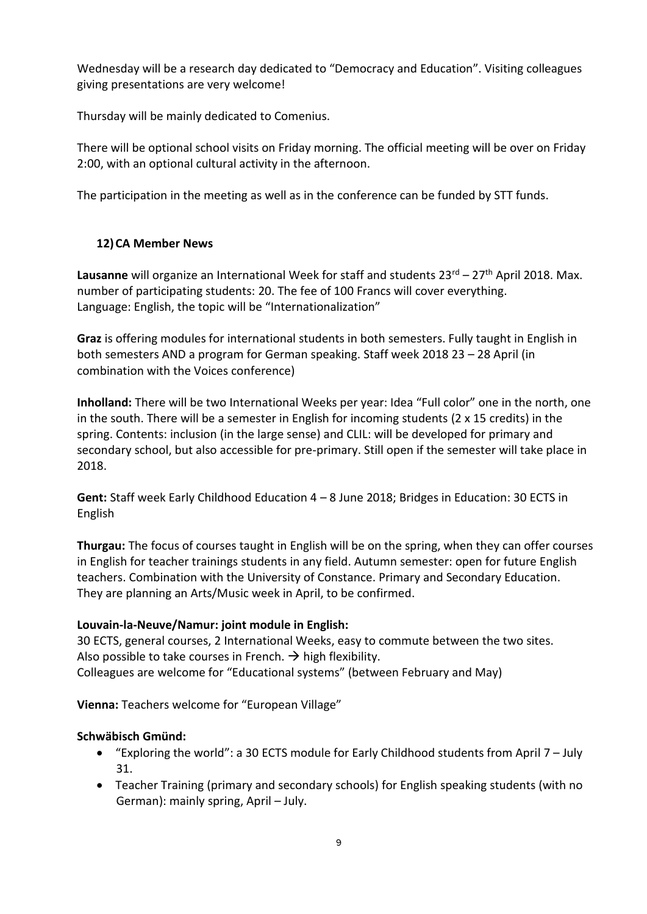Wednesday will be a research day dedicated to "Democracy and Education". Visiting colleagues giving presentations are very welcome!

Thursday will be mainly dedicated to Comenius.

There will be optional school visits on Friday morning. The official meeting will be over on Friday 2:00, with an optional cultural activity in the afternoon.

The participation in the meeting as well as in the conference can be funded by STT funds.

# **12)CA Member News**

Lausanne will organize an International Week for staff and students 23<sup>rd</sup> – 27<sup>th</sup> April 2018. Max. number of participating students: 20. The fee of 100 Francs will cover everything. Language: English, the topic will be "Internationalization"

**Graz** is offering modules for international students in both semesters. Fully taught in English in both semesters AND a program for German speaking. Staff week 2018 23 – 28 April (in combination with the Voices conference)

**Inholland:** There will be two International Weeks per year: Idea "Full color" one in the north, one in the south. There will be a semester in English for incoming students (2 x 15 credits) in the spring. Contents: inclusion (in the large sense) and CLIL: will be developed for primary and secondary school, but also accessible for pre-primary. Still open if the semester will take place in 2018.

**Gent:** Staff week Early Childhood Education 4 – 8 June 2018; Bridges in Education: 30 ECTS in English

**Thurgau:** The focus of courses taught in English will be on the spring, when they can offer courses in English for teacher trainings students in any field. Autumn semester: open for future English teachers. Combination with the University of Constance. Primary and Secondary Education. They are planning an Arts/Music week in April, to be confirmed.

# **Louvain-la-Neuve/Namur: joint module in English:**

30 ECTS, general courses, 2 International Weeks, easy to commute between the two sites. Also possible to take courses in French.  $\rightarrow$  high flexibility. Colleagues are welcome for "Educational systems" (between February and May)

**Vienna:** Teachers welcome for "European Village"

# **Schwäbisch Gmünd:**

- "Exploring the world": a 30 ECTS module for Early Childhood students from April 7 July 31.
- Teacher Training (primary and secondary schools) for English speaking students (with no German): mainly spring, April – July.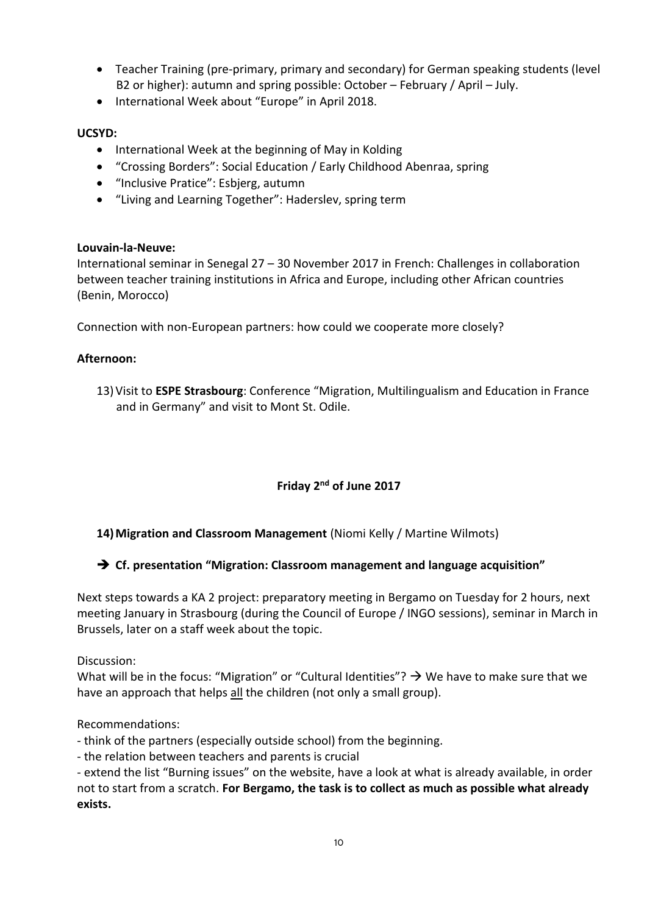- Teacher Training (pre-primary, primary and secondary) for German speaking students (level B2 or higher): autumn and spring possible: October – February / April – July.
- International Week about "Europe" in April 2018.

#### **UCSYD:**

- International Week at the beginning of May in Kolding
- "Crossing Borders": Social Education / Early Childhood Abenraa, spring
- "Inclusive Pratice": Esbjerg, autumn
- "Living and Learning Together": Haderslev, spring term

#### **Louvain-la-Neuve:**

International seminar in Senegal 27 – 30 November 2017 in French: Challenges in collaboration between teacher training institutions in Africa and Europe, including other African countries (Benin, Morocco)

Connection with non-European partners: how could we cooperate more closely?

## **Afternoon:**

13)Visit to **ESPE Strasbourg**: Conference "Migration, Multilingualism and Education in France and in Germany" and visit to Mont St. Odile.

## **Friday 2nd of June 2017**

## **14)Migration and Classroom Management** (Niomi Kelly / Martine Wilmots)

## **Cf. presentation "Migration: Classroom management and language acquisition"**

Next steps towards a KA 2 project: preparatory meeting in Bergamo on Tuesday for 2 hours, next meeting January in Strasbourg (during the Council of Europe / INGO sessions), seminar in March in Brussels, later on a staff week about the topic.

Discussion:

What will be in the focus: "Migration" or "Cultural Identities"?  $\rightarrow$  We have to make sure that we have an approach that helps all the children (not only a small group).

Recommendations:

- think of the partners (especially outside school) from the beginning.

- the relation between teachers and parents is crucial

- extend the list "Burning issues" on the website, have a look at what is already available, in order not to start from a scratch. **For Bergamo, the task is to collect as much as possible what already exists.**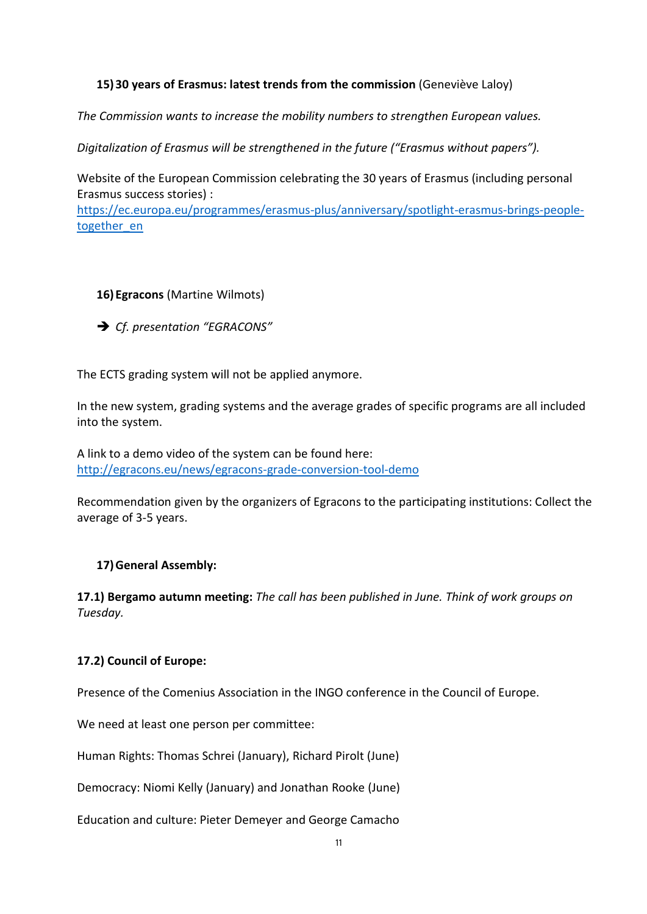## **15)30 years of Erasmus: latest trends from the commission** (Geneviève Laloy)

*The Commission wants to increase the mobility numbers to strengthen European values.*

*Digitalization of Erasmus will be strengthened in the future ("Erasmus without papers").*

Website of the European Commission celebrating the 30 years of Erasmus (including personal Erasmus success stories) :

[https://ec.europa.eu/programmes/erasmus-plus/anniversary/spotlight-erasmus-brings-people](https://ec.europa.eu/programmes/erasmus-plus/anniversary/spotlight-erasmus-brings-people-together_en)[together\\_en](https://ec.europa.eu/programmes/erasmus-plus/anniversary/spotlight-erasmus-brings-people-together_en)

#### **16)Egracons** (Martine Wilmots)

*Cf. presentation "EGRACONS"*

The ECTS grading system will not be applied anymore.

In the new system, grading systems and the average grades of specific programs are all included into the system.

A link to a demo video of the system can be found here: <http://egracons.eu/news/egracons-grade-conversion-tool-demo>

Recommendation given by the organizers of Egracons to the participating institutions: Collect the average of 3-5 years.

## **17)General Assembly:**

**17.1) Bergamo autumn meeting:** *The call has been published in June. Think of work groups on Tuesday.*

## **17.2) Council of Europe:**

Presence of the Comenius Association in the INGO conference in the Council of Europe.

We need at least one person per committee:

Human Rights: Thomas Schrei (January), Richard Pirolt (June)

Democracy: Niomi Kelly (January) and Jonathan Rooke (June)

Education and culture: Pieter Demeyer and George Camacho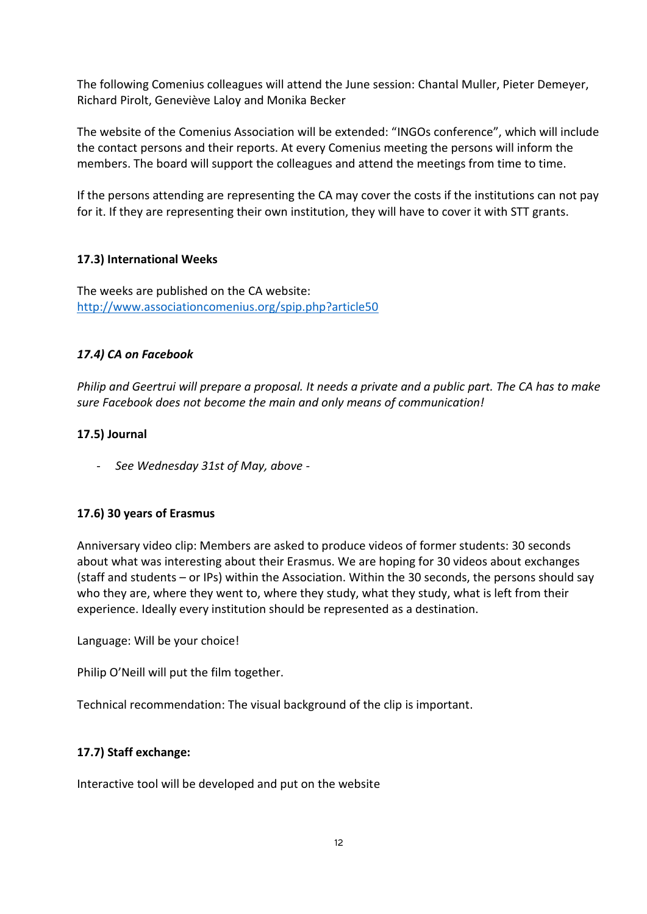The following Comenius colleagues will attend the June session: Chantal Muller, Pieter Demeyer, Richard Pirolt, Geneviève Laloy and Monika Becker

The website of the Comenius Association will be extended: "INGOs conference", which will include the contact persons and their reports. At every Comenius meeting the persons will inform the members. The board will support the colleagues and attend the meetings from time to time.

If the persons attending are representing the CA may cover the costs if the institutions can not pay for it. If they are representing their own institution, they will have to cover it with STT grants.

#### **17.3) International Weeks**

The weeks are published on the CA website: <http://www.associationcomenius.org/spip.php?article50>

#### *17.4) CA on Facebook*

*Philip and Geertrui will prepare a proposal. It needs a private and a public part. The CA has to make sure Facebook does not become the main and only means of communication!*

#### **17.5) Journal**

- *See Wednesday 31st of May, above -*

## **17.6) 30 years of Erasmus**

Anniversary video clip: Members are asked to produce videos of former students: 30 seconds about what was interesting about their Erasmus. We are hoping for 30 videos about exchanges (staff and students – or IPs) within the Association. Within the 30 seconds, the persons should say who they are, where they went to, where they study, what they study, what is left from their experience. Ideally every institution should be represented as a destination.

Language: Will be your choice!

Philip O'Neill will put the film together.

Technical recommendation: The visual background of the clip is important.

#### **17.7) Staff exchange:**

Interactive tool will be developed and put on the website